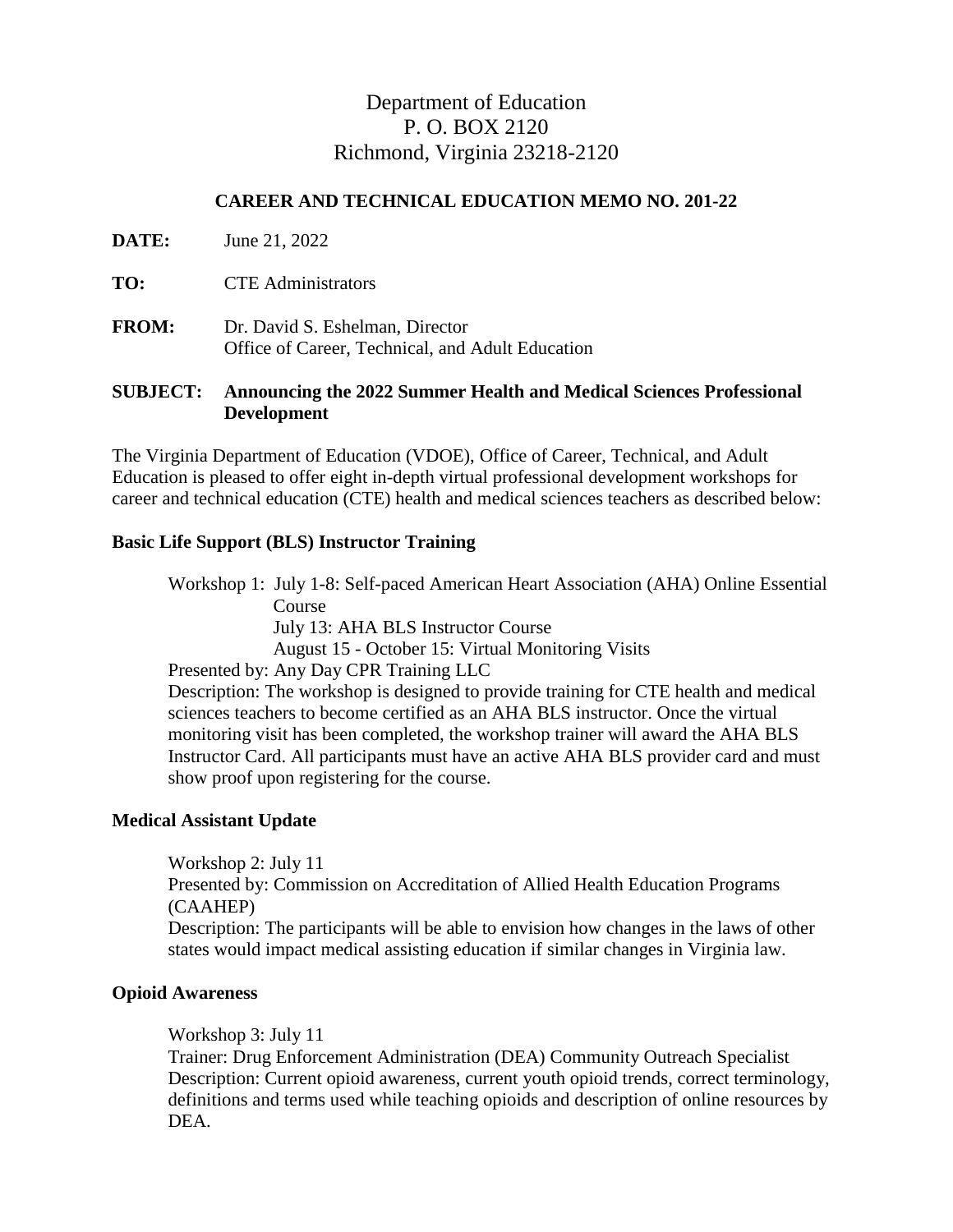# Department of Education P. O. BOX 2120 Richmond, Virginia 23218-2120

# **CAREER AND TECHNICAL EDUCATION MEMO NO. 201-22**

| <b>DATE:</b> | June 21, 2022                                                                       |
|--------------|-------------------------------------------------------------------------------------|
| TO:          | <b>CTE</b> Administrators                                                           |
| <b>FROM:</b> | Dr. David S. Eshelman, Director<br>Office of Career, Technical, and Adult Education |

## **SUBJECT: Announcing the 2022 Summer Health and Medical Sciences Professional Development**

The Virginia Department of Education (VDOE), Office of Career, Technical, and Adult Education is pleased to offer eight in-depth virtual professional development workshops for career and technical education (CTE) health and medical sciences teachers as described below:

#### **Basic Life Support (BLS) Instructor Training**

Workshop 1: July 1-8: Self-paced American Heart Association (AHA) Online Essential Course July 13: AHA BLS Instructor Course August 15 - October 15: Virtual Monitoring Visits Presented by: Any Day CPR Training LLC Description: The workshop is designed to provide training for CTE health and medical sciences teachers to become certified as an AHA BLS instructor. Once the virtual monitoring visit has been completed, the workshop trainer will award the AHA BLS Instructor Card. All participants must have an active AHA BLS provider card and must show proof upon registering for the course.

#### **Medical Assistant Update**

Workshop 2: July 11 Presented by: Commission on Accreditation of Allied Health Education Programs (CAAHEP) Description: The participants will be able to envision how changes in the laws of other states would impact medical assisting education if similar changes in Virginia law.

# **Opioid Awareness**

Workshop 3: July 11

Trainer: Drug Enforcement Administration (DEA) Community Outreach Specialist Description: Current opioid awareness, current youth opioid trends, correct terminology, definitions and terms used while teaching opioids and description of online resources by DEA.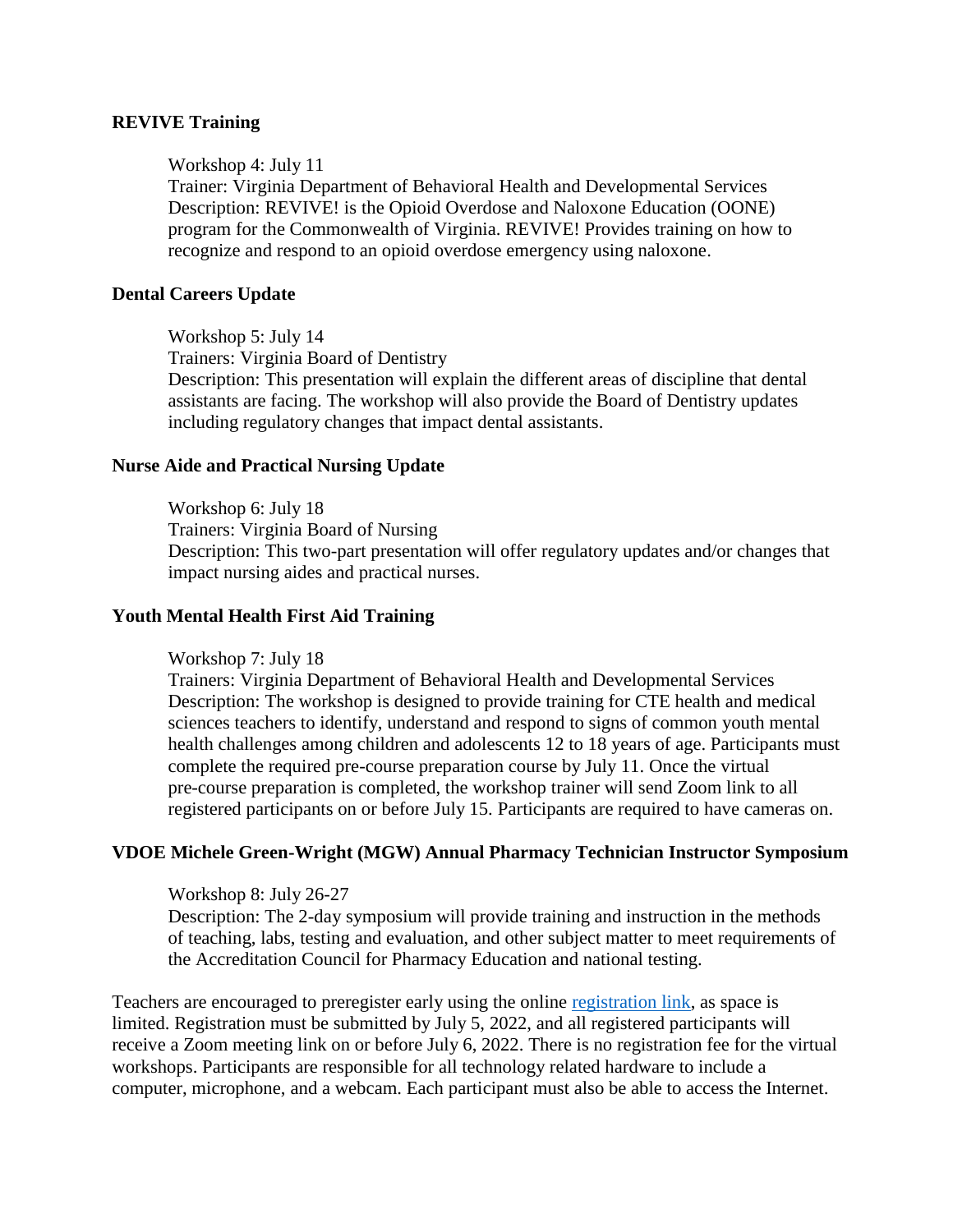#### **REVIVE Training**

#### Workshop 4: July 11

Trainer: Virginia Department of Behavioral Health and Developmental Services Description: REVIVE! is the Opioid Overdose and Naloxone Education (OONE) program for the Commonwealth of Virginia. REVIVE! Provides training on how to recognize and respond to an opioid overdose emergency using naloxone.

#### **Dental Careers Update**

Workshop 5: July 14 Trainers: Virginia Board of Dentistry Description: This presentation will explain the different areas of discipline that dental assistants are facing. The workshop will also provide the Board of Dentistry updates including regulatory changes that impact dental assistants.

#### **Nurse Aide and Practical Nursing Update**

Workshop 6: July 18 Trainers: Virginia Board of Nursing Description: This two-part presentation will offer regulatory updates and/or changes that impact nursing aides and practical nurses.

#### **Youth Mental Health First Aid Training**

Workshop 7: July 18

Trainers: Virginia Department of Behavioral Health and Developmental Services Description: The workshop is designed to provide training for CTE health and medical sciences teachers to identify, understand and respond to signs of common youth mental health challenges among children and adolescents 12 to 18 years of age. Participants must complete the required pre-course preparation course by July 11. Once the virtual pre-course preparation is completed, the workshop trainer will send Zoom link to all registered participants on or before July 15. Participants are required to have cameras on.

# **VDOE Michele Green-Wright (MGW) Annual Pharmacy Technician Instructor Symposium**

Workshop 8: July 26-27

Description: The 2-day symposium will provide training and instruction in the methods of teaching, labs, testing and evaluation, and other subject matter to meet requirements of the Accreditation Council for Pharmacy Education and national testing.

Teachers are encouraged to preregister early using the online [registration link,](https://www.surveymonkey.com/r/HealthandMedicalSciencesSummerPD) as space is limited. Registration must be submitted by July 5, 2022, and all registered participants will receive a Zoom meeting link on or before July 6, 2022. There is no registration fee for the virtual workshops. Participants are responsible for all technology related hardware to include a computer, microphone, and a webcam. Each participant must also be able to access the Internet.